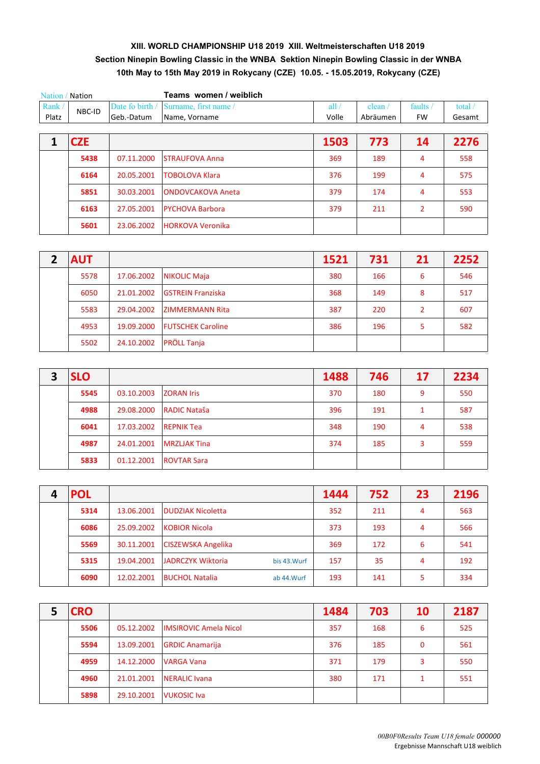## **XIII. WORLD CHAMPIONSHIP U18 2019 XIII. Weltmeisterschaften U18 2019 Section Ninepin Bowling Classic in the WNBA Sektion Ninepin Bowling Classic in der WNBA 10th May to 15th May 2019 in Rokycany (CZE) 10.05. - 15.05.2019, Rokycany (CZE)**

| Nation / Nation |            |                 | Teams women / weiblich   |         |          |                 |         |
|-----------------|------------|-----------------|--------------------------|---------|----------|-----------------|---------|
| Rank/           | NBC-ID     | Date fo birth / | Surname, first name /    | all $/$ | clean /  | faults $\theta$ | total / |
| Platz           |            | Geb.-Datum      | Name, Vorname            | Volle   | Abräumen | <b>FW</b>       | Gesamt  |
|                 |            |                 |                          |         |          |                 |         |
| 1               | <b>CZE</b> |                 |                          | 1503    | 773      | 14              | 2276    |
|                 | 5438       | 07.11.2000      | <b>STRAUFOVA Anna</b>    | 369     | 189      | 4               | 558     |
|                 | 6164       | 20.05.2001      | <b>TOBOLOVA Klara</b>    | 376     | 199      | 4               | 575     |
|                 | 5851       | 30.03.2001      | <b>ONDOVCAKOVA Aneta</b> | 379     | 174      | 4               | 553     |
|                 | 6163       | 27.05.2001      | <b>PYCHOVA Barbora</b>   | 379     | 211      | 2               | 590     |
|                 | 5601       | 23.06.2002      | <b>HORKOVA Veronika</b>  |         |          |                 |         |

| <b>AUT</b> |            |                          | 1521 | 731 | 21            | 2252 |
|------------|------------|--------------------------|------|-----|---------------|------|
| 5578       | 17.06.2002 | <b>NIKOLIC Maja</b>      | 380  | 166 | 6             | 546  |
| 6050       | 21.01.2002 | <b>GSTREIN Franziska</b> | 368  | 149 | 8             | 517  |
| 5583       | 29.04.2002 | <b>ZIMMERMANN Rita</b>   | 387  | 220 | $\mathcal{P}$ | 607  |
| 4953       | 19.09.2000 | <b>FUTSCHEK Caroline</b> | 386  | 196 | 5             | 582  |
| 5502       | 24.10.2002 | <b>PRÖLL Tanja</b>       |      |     |               |      |

| 3 | <b>SLO</b> |            |                     | 1488 | 746 | 17 | 2234 |
|---|------------|------------|---------------------|------|-----|----|------|
|   | 5545       | 03.10.2003 | <b>ZORAN Iris</b>   | 370  | 180 | 9  | 550  |
|   | 4988       | 29.08.2000 | <b>RADIC Nataša</b> | 396  | 191 |    | 587  |
|   | 6041       | 17.03.2002 | <b>REPNIK Tea</b>   | 348  | 190 | 4  | 538  |
|   | 4987       | 24.01.2001 | <b>MRZLJAK Tina</b> | 374  | 185 | 3  | 559  |
|   | 5833       | 01.12.2001 | <b>ROVTAR Sara</b>  |      |     |    |      |

| 4 | <b>POL</b> |            |                           |              | 1444 | 752 | 23 | 2196 |
|---|------------|------------|---------------------------|--------------|------|-----|----|------|
|   | 5314       | 13.06.2001 | <b>DUDZIAK Nicoletta</b>  |              | 352  | 211 | 4  | 563  |
|   | 6086       | 25.09.2002 | <b>KOBIOR Nicola</b>      |              | 373  | 193 | 4  | 566  |
|   | 5569       | 30.11.2001 | <b>CISZEWSKA Angelika</b> |              | 369  | 172 | 6  | 541  |
|   | 5315       | 19.04.2001 | <b>JADRCZYK Wiktoria</b>  | bis 43. Wurf | 157  | 35  | 4  | 192  |
|   | 6090       | 12.02.2001 | <b>BUCHOL Natalia</b>     | ab 44. Wurf  | 193  | 141 | 5. | 334  |

| <b>CRO</b> |            |                              | 1484 | 703 | 10 | 2187 |
|------------|------------|------------------------------|------|-----|----|------|
| 5506       | 05.12.2002 | <b>IMSIROVIC Amela Nicol</b> | 357  | 168 | 6  | 525  |
| 5594       | 13.09.2001 | <b>GRDIC Anamarija</b>       | 376  | 185 | 0  | 561  |
| 4959       | 14.12.2000 | <b>VARGA Vana</b>            | 371  | 179 | 3  | 550  |
| 4960       | 21.01.2001 | <b>NERALIC</b> Ivana         | 380  | 171 |    | 551  |
| 5898       | 29.10.2001 | <b>VUKOSIC Iva</b>           |      |     |    |      |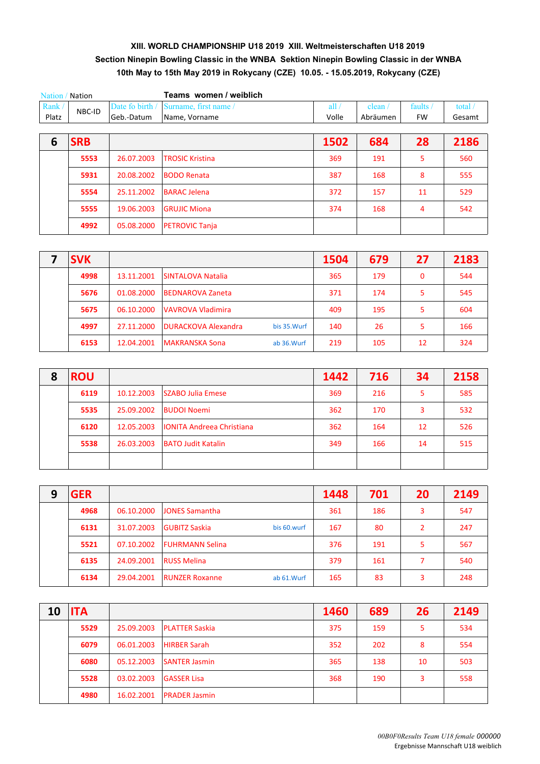## **XIII. WORLD CHAMPIONSHIP U18 2019 XIII. Weltmeisterschaften U18 2019 Section Ninepin Bowling Classic in the WNBA Sektion Ninepin Bowling Classic in der WNBA 10th May to 15th May 2019 in Rokycany (CZE) 10.05. - 15.05.2019, Rokycany (CZE)**

| Nation / Nation |            |                 | Teams women / weiblich |         |          |                                 |           |
|-----------------|------------|-----------------|------------------------|---------|----------|---------------------------------|-----------|
| Rank/           | NBC-ID     | Date fo birth / | Surname, first name /  | all $/$ | clean /  | faults $\overline{\phantom{a}}$ | total $/$ |
| Platz           |            | Geb.-Datum      | Name, Vorname          | Volle   | Abräumen | <b>FW</b>                       | Gesamt    |
|                 |            |                 |                        |         |          |                                 |           |
| 6               | <b>SRB</b> |                 |                        | 1502    | 684      | 28                              | 2186      |
|                 | 5553       | 26.07.2003      | <b>TROSIC Kristina</b> | 369     | 191      | 5                               | 560       |
|                 | 5931       | 20.08.2002      | <b>BODO Renata</b>     | 387     | 168      | 8                               | 555       |
|                 | 5554       | 25.11.2002      | <b>BARAC Jelena</b>    | 372     | 157      | 11                              | 529       |
|                 | 5555       | 19.06.2003      | <b>GRUJIC Miona</b>    | 374     | 168      | 4                               | 542       |
|                 | 4992       | 05.08.2000      | <b>PETROVIC Tanja</b>  |         |          |                                 |           |

| <b>SVK</b> |            |                            |              | 1504 | 679 | 27           | 2183 |
|------------|------------|----------------------------|--------------|------|-----|--------------|------|
| 4998       | 13.11.2001 | <b>SINTALOVA Natalia</b>   |              | 365  | 179 | $\mathbf{0}$ | 544  |
| 5676       | 01.08.2000 | <b>BEDNAROVA Zaneta</b>    |              | 371  | 174 | 5            | 545  |
| 5675       | 06.10.2000 | VAVROVA Vladimira          |              | 409  | 195 | 5            | 604  |
| 4997       | 27.11.2000 | <b>DURACKOVA Alexandra</b> | bis 35. Wurf | 140  | 26  | 5            | 166  |
| 6153       | 12.04.2001 | <b>MAKRANSKA Sona</b>      | ab 36. Wurf  | 219  | 105 | 12           | 324  |

| 8 | <b>ROU</b> |            |                                  | 1442 | 716 | 34 | 2158 |
|---|------------|------------|----------------------------------|------|-----|----|------|
|   | 6119       | 10.12.2003 | <b>SZABO Julia Emese</b>         | 369  | 216 | 5. | 585  |
|   | 5535       | 25.09.2002 | <b>BUDOI Noemi</b>               | 362  | 170 | 3  | 532  |
|   | 6120       | 12.05.2003 | <b>IONITA Andreea Christiana</b> | 362  | 164 | 12 | 526  |
|   | 5538       | 26.03.2003 | <b>BATO Judit Katalin</b>        | 349  | 166 | 14 | 515  |
|   |            |            |                                  |      |     |    |      |

| 9 | <b>GER</b> |            |                        |             | 1448 | 701 | 20 | 2149 |
|---|------------|------------|------------------------|-------------|------|-----|----|------|
|   | 4968       | 06.10.2000 | <b>JONES Samantha</b>  |             | 361  | 186 | 3  | 547  |
|   | 6131       | 31.07.2003 | <b>GUBITZ Saskia</b>   | bis 60.wurf | 167  | 80  | 2  | 247  |
|   | 5521       | 07.10.2002 | <b>FUHRMANN Selina</b> |             | 376  | 191 | 5  | 567  |
|   | 6135       | 24.09.2001 | <b>RUSS Melina</b>     |             | 379  | 161 |    | 540  |
|   | 6134       | 29.04.2001 | <b>RUNZER Roxanne</b>  | ab 61. Wurf | 165  | 83  | 3  | 248  |

| 10 | <b>ITA</b> |            |                       | 1460 | 689 | 26 | 2149 |
|----|------------|------------|-----------------------|------|-----|----|------|
|    | 5529       | 25.09.2003 | <b>PLATTER Saskia</b> | 375  | 159 | 5  | 534  |
|    | 6079       | 06.01.2003 | <b>HIRBER Sarah</b>   | 352  | 202 | 8  | 554  |
|    | 6080       | 05.12.2003 | <b>SANTER Jasmin</b>  | 365  | 138 | 10 | 503  |
|    | 5528       | 03.02.2003 | <b>GASSER Lisa</b>    | 368  | 190 | 3  | 558  |
|    | 4980       | 16.02.2001 | <b>PRADER Jasmin</b>  |      |     |    |      |